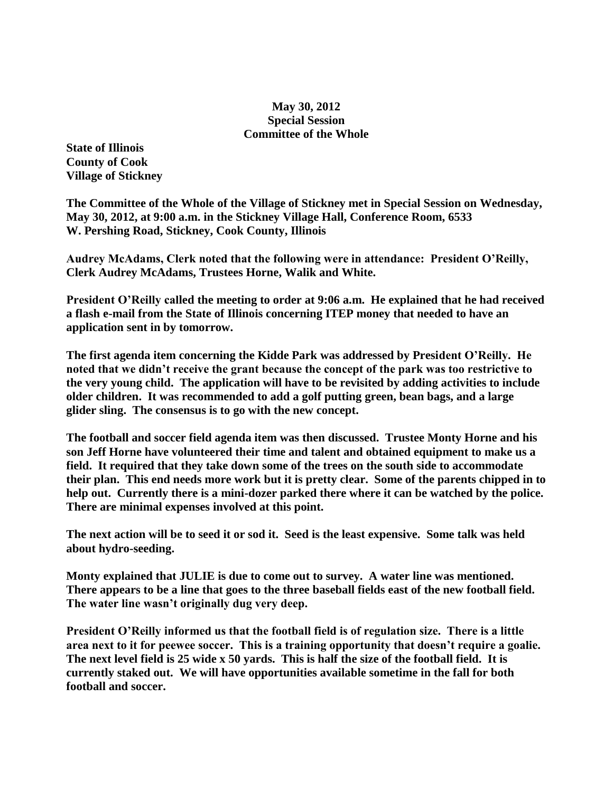## **May 30, 2012 Special Session Committee of the Whole**

**State of Illinois County of Cook Village of Stickney**

**The Committee of the Whole of the Village of Stickney met in Special Session on Wednesday, May 30, 2012, at 9:00 a.m. in the Stickney Village Hall, Conference Room, 6533 W. Pershing Road, Stickney, Cook County, Illinois**

**Audrey McAdams, Clerk noted that the following were in attendance: President O'Reilly, Clerk Audrey McAdams, Trustees Horne, Walik and White.** 

**President O'Reilly called the meeting to order at 9:06 a.m. He explained that he had received a flash e-mail from the State of Illinois concerning ITEP money that needed to have an application sent in by tomorrow.**

**The first agenda item concerning the Kidde Park was addressed by President O'Reilly. He noted that we didn't receive the grant because the concept of the park was too restrictive to the very young child. The application will have to be revisited by adding activities to include older children. It was recommended to add a golf putting green, bean bags, and a large glider sling. The consensus is to go with the new concept.**

**The football and soccer field agenda item was then discussed. Trustee Monty Horne and his son Jeff Horne have volunteered their time and talent and obtained equipment to make us a field. It required that they take down some of the trees on the south side to accommodate their plan. This end needs more work but it is pretty clear. Some of the parents chipped in to help out. Currently there is a mini-dozer parked there where it can be watched by the police. There are minimal expenses involved at this point.** 

**The next action will be to seed it or sod it. Seed is the least expensive. Some talk was held about hydro-seeding.** 

**Monty explained that JULIE is due to come out to survey. A water line was mentioned. There appears to be a line that goes to the three baseball fields east of the new football field. The water line wasn't originally dug very deep.** 

**President O'Reilly informed us that the football field is of regulation size. There is a little area next to it for peewee soccer. This is a training opportunity that doesn't require a goalie. The next level field is 25 wide x 50 yards. This is half the size of the football field. It is currently staked out. We will have opportunities available sometime in the fall for both football and soccer.**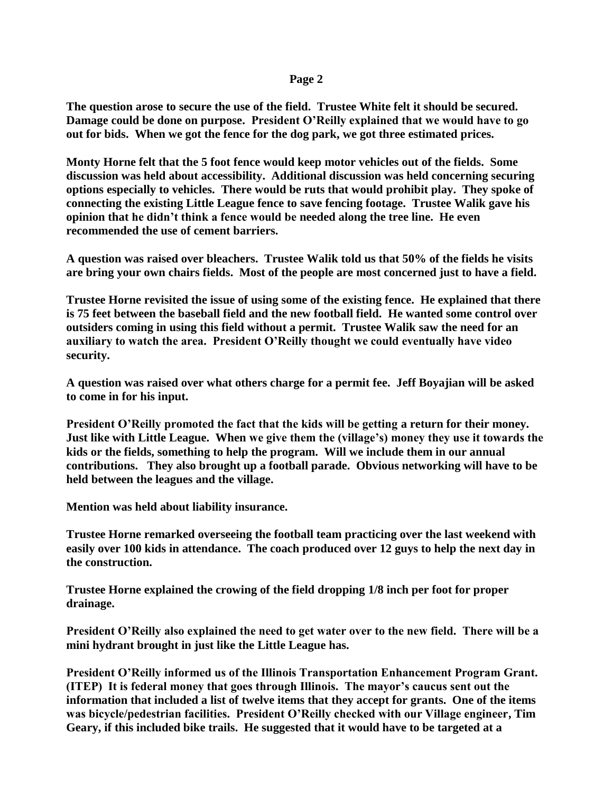## **Page 2**

**The question arose to secure the use of the field. Trustee White felt it should be secured. Damage could be done on purpose. President O'Reilly explained that we would have to go out for bids. When we got the fence for the dog park, we got three estimated prices.** 

**Monty Horne felt that the 5 foot fence would keep motor vehicles out of the fields. Some discussion was held about accessibility. Additional discussion was held concerning securing options especially to vehicles. There would be ruts that would prohibit play. They spoke of connecting the existing Little League fence to save fencing footage. Trustee Walik gave his opinion that he didn't think a fence would be needed along the tree line. He even recommended the use of cement barriers.** 

**A question was raised over bleachers. Trustee Walik told us that 50% of the fields he visits are bring your own chairs fields. Most of the people are most concerned just to have a field.** 

**Trustee Horne revisited the issue of using some of the existing fence. He explained that there is 75 feet between the baseball field and the new football field. He wanted some control over outsiders coming in using this field without a permit. Trustee Walik saw the need for an auxiliary to watch the area. President O'Reilly thought we could eventually have video security.** 

**A question was raised over what others charge for a permit fee. Jeff Boyajian will be asked to come in for his input.**

**President O'Reilly promoted the fact that the kids will be getting a return for their money. Just like with Little League. When we give them the (village's) money they use it towards the kids or the fields, something to help the program. Will we include them in our annual contributions. They also brought up a football parade. Obvious networking will have to be held between the leagues and the village.** 

**Mention was held about liability insurance.** 

**Trustee Horne remarked overseeing the football team practicing over the last weekend with easily over 100 kids in attendance. The coach produced over 12 guys to help the next day in the construction.**

**Trustee Horne explained the crowing of the field dropping 1/8 inch per foot for proper drainage.** 

**President O'Reilly also explained the need to get water over to the new field. There will be a mini hydrant brought in just like the Little League has.**

**President O'Reilly informed us of the Illinois Transportation Enhancement Program Grant. (ITEP) It is federal money that goes through Illinois. The mayor's caucus sent out the information that included a list of twelve items that they accept for grants. One of the items was bicycle/pedestrian facilities. President O'Reilly checked with our Village engineer, Tim Geary, if this included bike trails. He suggested that it would have to be targeted at a**